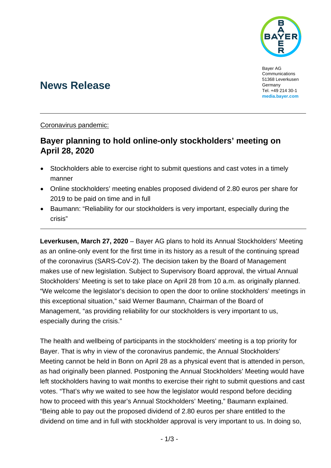

Bayer AG Communications 51368 Leverkusen Germany Tel. +49 214 30-1 **[media.bayer.com](http://media.bayer.de/)**

# **News Release**

Coronavirus pandemic:

## **Bayer planning to hold online-only stockholders' meeting on April 28, 2020**

- Stockholders able to exercise right to submit questions and cast votes in a timely manner
- Online stockholders' meeting enables proposed dividend of 2.80 euros per share for 2019 to be paid on time and in full
- Baumann: "Reliability for our stockholders is very important, especially during the crisis"

**Leverkusen, March 27, 2020** – Bayer AG plans to hold its Annual Stockholders' Meeting as an online-only event for the first time in its history as a result of the continuing spread of the coronavirus (SARS-CoV-2). The decision taken by the Board of Management makes use of new legislation. Subject to Supervisory Board approval, the virtual Annual Stockholders' Meeting is set to take place on April 28 from 10 a.m. as originally planned. "We welcome the legislator's decision to open the door to online stockholders' meetings in this exceptional situation," said Werner Baumann, Chairman of the Board of Management, "as providing reliability for our stockholders is very important to us, especially during the crisis."

The health and wellbeing of participants in the stockholders' meeting is a top priority for Bayer. That is why in view of the coronavirus pandemic, the Annual Stockholders' Meeting cannot be held in Bonn on April 28 as a physical event that is attended in person, as had originally been planned. Postponing the Annual Stockholders' Meeting would have left stockholders having to wait months to exercise their right to submit questions and cast votes. "That's why we waited to see how the legislator would respond before deciding how to proceed with this year's Annual Stockholders' Meeting," Baumann explained. "Being able to pay out the proposed dividend of 2.80 euros per share entitled to the dividend on time and in full with stockholder approval is very important to us. In doing so,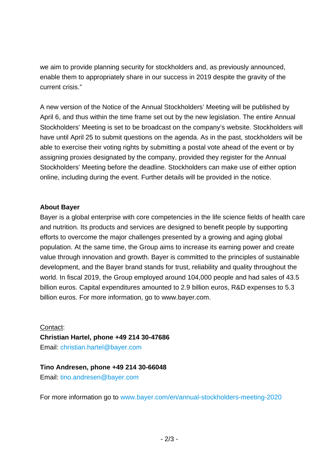we aim to provide planning security for stockholders and, as previously announced, enable them to appropriately share in our success in 2019 despite the gravity of the current crisis."

A new version of the Notice of the Annual Stockholders' Meeting will be published by April 6, and thus within the time frame set out by the new legislation. The entire Annual Stockholders' Meeting is set to be broadcast on the company's website. Stockholders will have until April 25 to submit questions on the agenda. As in the past, stockholders will be able to exercise their voting rights by submitting a postal vote ahead of the event or by assigning proxies designated by the company, provided they register for the Annual Stockholders' Meeting before the deadline. Stockholders can make use of either option online, including during the event. Further details will be provided in the notice.

### **About Bayer**

Bayer is a global enterprise with core competencies in the life science fields of health care and nutrition. Its products and services are designed to benefit people by supporting efforts to overcome the major challenges presented by a growing and aging global population. At the same time, the Group aims to increase its earning power and create value through innovation and growth. Bayer is committed to the principles of sustainable development, and the Bayer brand stands for trust, reliability and quality throughout the world. In fiscal 2019, the Group employed around 104,000 people and had sales of 43.5 billion euros. Capital expenditures amounted to 2.9 billion euros, R&D expenses to 5.3 billion euros. For more information, go to [www.bayer.com.](http://www.bayer.com/)

Contact: **Christian Hartel, phone +49 214 30-47686** Email: [christian.hartel@bayer.com](mailto:christian.hartel@bayer.com)

## **Tino Andresen, phone +49 214 30-66048**

Email: [tino.andresen@bayer.com](mailto:tino.andresen@bayer.com)

For more information go to [www.bayer.com/en/annual-stockholders-meeting-2020](https://www.bayer.com/en/annual-stockholders-meeting-2020.aspx)